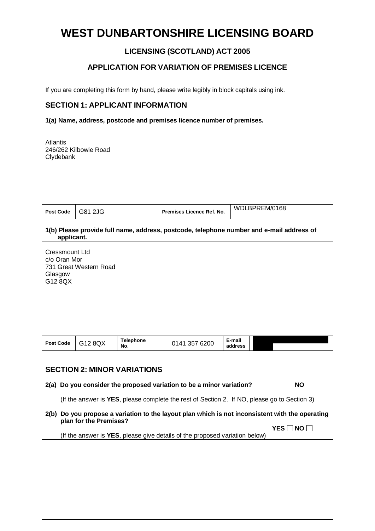# **WEST DUNBARTONSHIRE LICENSING BOARD**

# **LICENSING (SCOTLAND) ACT 2005**

# **APPLICATION FOR VARIATION OF PREMISES LICENCE**

If you are completing this form by hand, please write legibly in block capitals using ink.

# **SECTION 1: APPLICANT INFORMATION**

#### **1(a) Name, address, postcode and premises licence number of premises.**

| Atlantis<br>246/262 Kilbowie Road<br>Clydebank                            |                        |                         |                           |                                                                                          |  |
|---------------------------------------------------------------------------|------------------------|-------------------------|---------------------------|------------------------------------------------------------------------------------------|--|
| <b>Post Code</b>                                                          | G81 2JG                |                         | Premises Licence Ref. No. | WDLBPREM/0168                                                                            |  |
| applicant.<br><b>Cressmount Ltd</b><br>c/o Oran Mor<br>Glasgow<br>G12 8QX | 731 Great Western Road |                         |                           | 1(b) Please provide full name, address, postcode, telephone number and e-mail address of |  |
| Post Code                                                                 | G12 8QX                | <b>Telephone</b><br>No. | 0141 357 6200             | E-mail<br>address                                                                        |  |

### **SECTION 2: MINOR VARIATIONS**

**2(a) Do you consider the proposed variation to be a minor variation? NO**

(If the answer is **YES**, please complete the rest of Section 2. If NO, please go to Section 3)

**2(b) Do you propose a variation to the layout plan which is not inconsistent with the operating plan for the Premises?**

**YES**  $□$  **NO**  $□$ (If the answer is **YES**, please give details of the proposed variation below)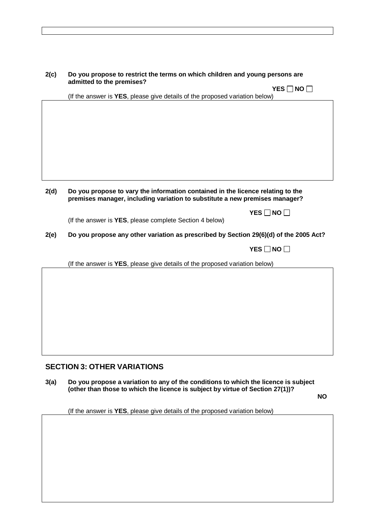| 2(c) | Do you propose to restrict the terms on which children and young persons are<br>admitted to the premises?                                                      |  |  |
|------|----------------------------------------------------------------------------------------------------------------------------------------------------------------|--|--|
|      | YES $\Box$ NO $\Box$<br>(If the answer is YES, please give details of the proposed variation below)                                                            |  |  |
|      |                                                                                                                                                                |  |  |
|      |                                                                                                                                                                |  |  |
|      |                                                                                                                                                                |  |  |
|      |                                                                                                                                                                |  |  |
|      |                                                                                                                                                                |  |  |
|      |                                                                                                                                                                |  |  |
|      |                                                                                                                                                                |  |  |
| 2(d) | Do you propose to vary the information contained in the licence relating to the<br>premises manager, including variation to substitute a new premises manager? |  |  |
|      | YES $\Box$ NO $\Box$                                                                                                                                           |  |  |
|      | (If the answer is YES, please complete Section 4 below)                                                                                                        |  |  |
| 2(e) | Do you propose any other variation as prescribed by Section 29(6)(d) of the 2005 Act?                                                                          |  |  |
|      | $YES \Box NO \Box$                                                                                                                                             |  |  |
|      | (If the answer is YES, please give details of the proposed variation below)                                                                                    |  |  |
|      |                                                                                                                                                                |  |  |
|      |                                                                                                                                                                |  |  |
|      |                                                                                                                                                                |  |  |
|      |                                                                                                                                                                |  |  |
|      |                                                                                                                                                                |  |  |
|      |                                                                                                                                                                |  |  |
|      |                                                                                                                                                                |  |  |

# **SECTION 3: OTHER VARIATIONS**

**3(a) Do you propose a variation to any of the conditions to which the licence is subject (other than those to which the licence is subject by virtue of Section 27(1))?**

**NO**

(If the answer is **YES**, please give details of the proposed variation below)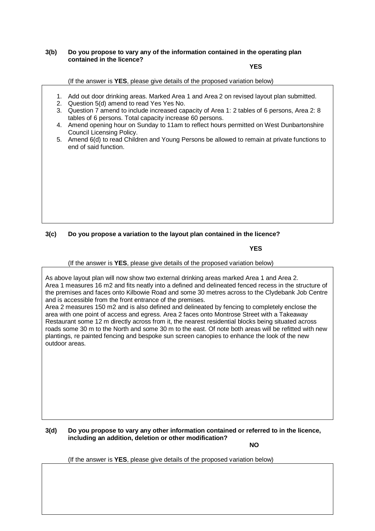#### **3(b) Do you propose to vary any of the information contained in the operating plan contained in the licence?**

#### **YES**

(If the answer is **YES**, please give details of the proposed variation below)

- 1. Add out door drinking areas. Marked Area 1 and Area 2 on revised layout plan submitted.
- 2. Question 5(d) amend to read Yes Yes No.
- 3. Question 7 amend to include increased capacity of Area 1: 2 tables of 6 persons, Area 2: 8 tables of 6 persons. Total capacity increase 60 persons.
- 4. Amend opening hour on Sunday to 11am to reflect hours permitted on West Dunbartonshire Council Licensing Policy.
- 5. Amend 6(d) to read Children and Young Persons be allowed to remain at private functions to end of said function.

### **3(c) Do you propose a variation to the layout plan contained in the licence?**

#### **YES**

(If the answer is **YES**, please give details of the proposed variation below)

As above layout plan will now show two external drinking areas marked Area 1 and Area 2. Area 1 measures 16 m2 and fits neatly into a defined and delineated fenced recess in the structure of the premises and faces onto Kilbowie Road and some 30 metres across to the Clydebank Job Centre and is accessible from the front entrance of the premises.

Area 2 measures 150 m2 and is also defined and delineated by fencing to completely enclose the area with one point of access and egress. Area 2 faces onto Montrose Street with a Takeaway Restaurant some 12 m directly across from it, the nearest residential blocks being situated across roads some 30 m to the North and some 30 m to the east. Of note both areas will be refitted with new plantings, re painted fencing and bespoke sun screen canopies to enhance the look of the new outdoor areas.

**3(d) Do you propose to vary any other information contained or referred to in the licence, including an addition, deletion or other modification?**

**NO**

(If the answer is **YES**, please give details of the proposed variation below)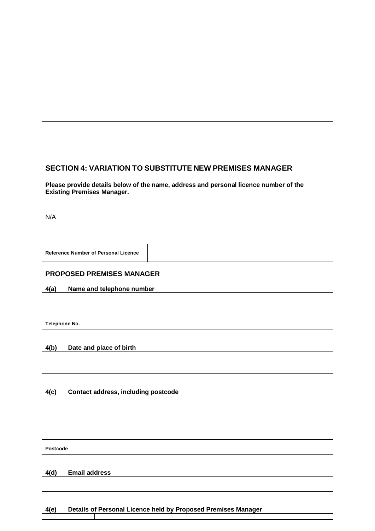# **SECTION 4: VARIATION TO SUBSTITUTE NEW PREMISES MANAGER**

**Please provide details below of the name, address and personal licence number of the Existing Premises Manager.**

| <b>Reference Number of Personal Licence</b> | N/A |  |
|---------------------------------------------|-----|--|
|                                             |     |  |

# **PROPOSED PREMISES MANAGER**

#### **4(a) Name and telephone number**

**Telephone No.**

#### **4(b) Date and place of birth**

### **4(c) Contact address, including postcode**

| <b>Postcode</b> |  |
|-----------------|--|

### **4(d) Email address**

# **4(e) Details of Personal Licence held by Proposed Premises Manager**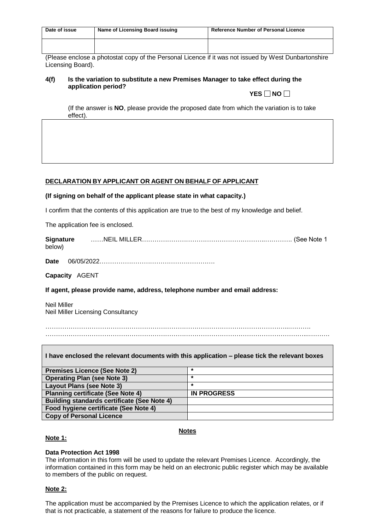| Date of issue | Name of Licensing Board issuing | <b>Reference Number of Personal Licence</b> |
|---------------|---------------------------------|---------------------------------------------|
|               |                                 |                                             |

(Please enclose a photostat copy of the Personal Licence if it was not issued by West Dunbartonshire Licensing Board).

#### **4(f) Is the variation to substitute a new Premises Manager to take effect during the application period? YES**  $\Box$  **NO**  $\Box$

(If the answer is **NO**, please provide the proposed date from which the variation is to take effect).

#### **DECLARATION BY APPLICANT OR AGENT ON BEHALF OF APPLICANT**

#### **(If signing on behalf of the applicant please state in what capacity.)**

I confirm that the contents of this application are true to the best of my knowledge and belief.

The application fee is enclosed.

| Signature | ……NEIL MILLER………………………………………………………………… (See Note 1 |
|-----------|----------------------------------------------------|
| below)    |                                                    |

**Date** 06/05/2022……………………………………………….

**Capacity** AGENT

**If agent, please provide name, address, telephone number and email address:**

Neil Miller Neil Miller Licensing Consultancy

……………………………………………………………………………………………………...……….

……………………………………………………………………………………………………………...……….

| I have enclosed the relevant documents with this application – please tick the relevant boxes |                    |  |  |
|-----------------------------------------------------------------------------------------------|--------------------|--|--|
| <b>Premises Licence (See Note 2)</b>                                                          | $\star$            |  |  |
| <b>Operating Plan (see Note 3)</b>                                                            | $\star$            |  |  |
| Layout Plans (see Note 3)                                                                     | $\star$            |  |  |
| <b>Planning certificate (See Note 4)</b>                                                      | <b>IN PROGRESS</b> |  |  |
| <b>Building standards certificate (See Note 4)</b>                                            |                    |  |  |
| Food hygiene certificate (See Note 4)                                                         |                    |  |  |
| <b>Copy of Personal Licence</b>                                                               |                    |  |  |

#### **Note 1:**

#### **Notes**

#### **Data Protection Act 1998**

The information in this form will be used to update the relevant Premises Licence. Accordingly, the information contained in this form may be held on an electronic public register which may be available to members of the public on request.

#### **Note 2:**

The application must be accompanied by the Premises Licence to which the application relates, or if that is not practicable, a statement of the reasons for failure to produce the licence.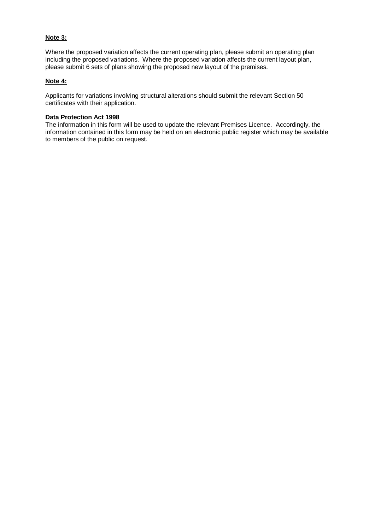#### **Note 3:**

Where the proposed variation affects the current operating plan, please submit an operating plan including the proposed variations. Where the proposed variation affects the current layout plan, please submit 6 sets of plans showing the proposed new layout of the premises.

#### **Note 4:**

Applicants for variations involving structural alterations should submit the relevant Section 50 certificates with their application.

#### **Data Protection Act 1998**

The information in this form will be used to update the relevant Premises Licence. Accordingly, the information contained in this form may be held on an electronic public register which may be available to members of the public on request.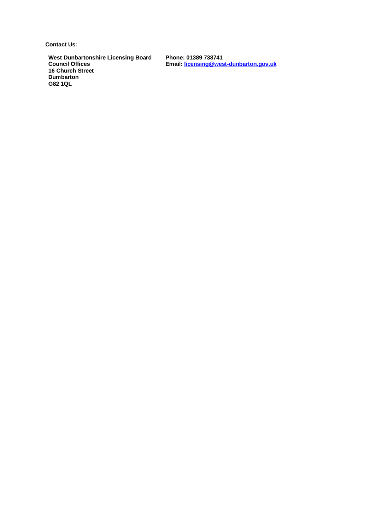**Contact Us:**

**West Dunbartonshire Licensing Board Council Offices 16 Church Street Dumbarton G82 1QL**

**Phone: 01389 738741 Email[: licensing@west-dunbarton.gov.uk](mailto:licensing@west-dunbarton.gov.uk)**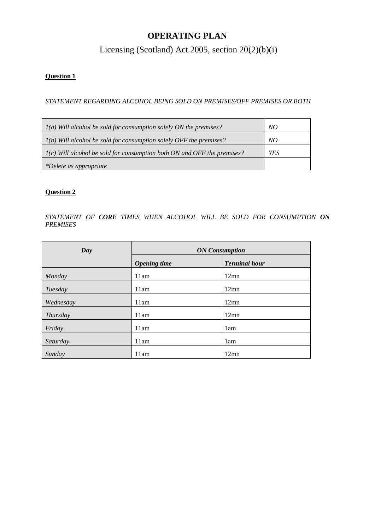# **OPERATING PLAN**

Licensing (Scotland) Act 2005, section 20(2)(b)(i)

# **Question 1**

*STATEMENT REGARDING ALCOHOL BEING SOLD ON PREMISES/OFF PREMISES OR BOTH*

| $I(a)$ Will alcohol be sold for consumption solely ON the premises?       | NO  |
|---------------------------------------------------------------------------|-----|
| $I(b)$ Will alcohol be sold for consumption solely OFF the premises?      | NO  |
| $I(c)$ Will alcohol be sold for consumption both ON and OFF the premises? | YES |
| *Delete as appropriate                                                    |     |

### **Question 2**

*STATEMENT OF CORE TIMES WHEN ALCOHOL WILL BE SOLD FOR CONSUMPTION ON PREMISES*

| Day       | <b>ON</b> Consumption |                      |  |
|-----------|-----------------------|----------------------|--|
|           | <b>Opening time</b>   | <b>Terminal hour</b> |  |
| Monday    | 11am                  | $12$ mn              |  |
| Tuesday   | 11am                  | $12$ mn              |  |
| Wednesday | 11am                  | $12$ mn              |  |
| Thursday  | 11am                  | $12$ mn              |  |
| Friday    | 11am                  | 1am                  |  |
| Saturday  | 11am                  | 1am                  |  |
| Sunday    | 11am                  | $12$ mn              |  |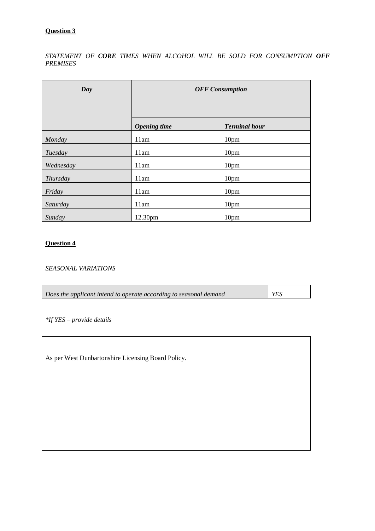### **Question 3**

*STATEMENT OF CORE TIMES WHEN ALCOHOL WILL BE SOLD FOR CONSUMPTION OFF PREMISES*

| Day       | <b>OFF</b> Consumption |                      |
|-----------|------------------------|----------------------|
|           | <b>Opening</b> time    | <b>Terminal hour</b> |
| Monday    | 11am                   | 10pm                 |
| Tuesday   | 11am                   | 10pm                 |
| Wednesday | 11am                   | 10pm                 |
| Thursday  | 11am                   | 10pm                 |
| Friday    | 11am                   | 10pm                 |
| Saturday  | 11am                   | 10pm                 |
| Sunday    | 12.30pm                | 10pm                 |

# **Question 4**

*SEASONAL VARIATIONS*

| Does the applicant intend to operate according to seasonal demand | YES |
|-------------------------------------------------------------------|-----|
|                                                                   |     |

*\*If YES – provide details*

As per West Dunbartonshire Licensing Board Policy.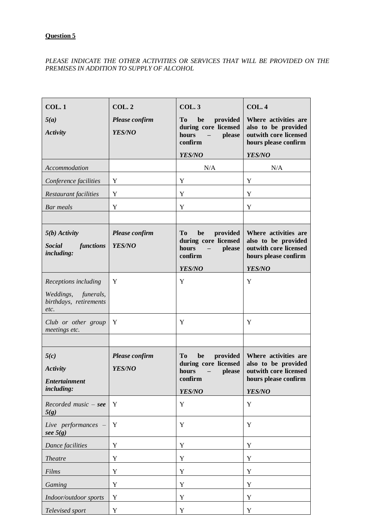### PLEASE INDICATE THE OTHER ACTIVITIES OR SERVICES THAT WILL BE PROVIDED ON THE *PREMISES IN ADDITION TO SUPPLY OF ALCOHOL*

| COL.1                          | <b>COL.2</b>   | <b>COL.3</b>                                        | <b>COL.4</b>                                 |
|--------------------------------|----------------|-----------------------------------------------------|----------------------------------------------|
| 5(a)                           | Please confirm | <b>To</b><br>be<br>provided                         | Where activities are                         |
| <b>Activity</b>                | YES/NO         | during core licensed<br>hours<br>please             | also to be provided<br>outwith core licensed |
|                                |                | confirm                                             | hours please confirm                         |
|                                |                | YES/NO                                              | YES/NO                                       |
| Accommodation                  |                | N/A                                                 | N/A                                          |
| Conference facilities          | Y              | Y                                                   | Y                                            |
| Restaurant facilities          | Y              | Y                                                   | Y                                            |
| <b>Bar</b> meals               | Y              | Y                                                   | Y                                            |
|                                |                |                                                     |                                              |
| $5(b)$ Activity                | Please confirm | <b>To</b><br>provided<br>be                         | Where activities are                         |
| functions<br><b>Social</b>     | YES/NO         | during core licensed<br>hours<br>please             | also to be provided<br>outwith core licensed |
| including:                     |                | confirm                                             | hours please confirm                         |
|                                |                | YES/NO                                              | YES/NO                                       |
| Receptions including           | Y              | Y                                                   | Y                                            |
| Weddings,<br>funerals,         |                |                                                     |                                              |
| birthdays, retirements<br>etc. |                |                                                     |                                              |
| Club or other group            | Y              | Y                                                   | Y                                            |
| meetings etc.                  |                |                                                     |                                              |
|                                |                |                                                     |                                              |
| 5(c)                           | Please confirm | <b>To</b><br>provided<br>be<br>during core licensed | Where activities are<br>also to be provided  |
| <b>Activity</b>                | YES/NO         | hours<br>please<br>$\overline{\phantom{m}}$         | outwith core licensed                        |
| <b>Entertainment</b>           |                | confirm                                             | hours please confirm                         |
| including:                     |                | YES/NO                                              | YES/NO                                       |
| $Recorded music - see$<br>5(g) | Y              | Y                                                   | Y                                            |
| Live performances              | Y              | Y                                                   | Y                                            |
| see $5(g)$                     |                |                                                     |                                              |
| Dance facilities               | Y              | Y                                                   | $\mathbf Y$                                  |
| <b>Theatre</b>                 | Y              | Y                                                   | Y                                            |
| Films                          | Y              | Y                                                   | $\mathbf Y$                                  |
| Gaming                         | Y              | Y                                                   | Y                                            |
| Indoor/outdoor sports          | Y              | Y                                                   | Y                                            |
| Televised sport                | $\mathbf Y$    | Y                                                   | Y                                            |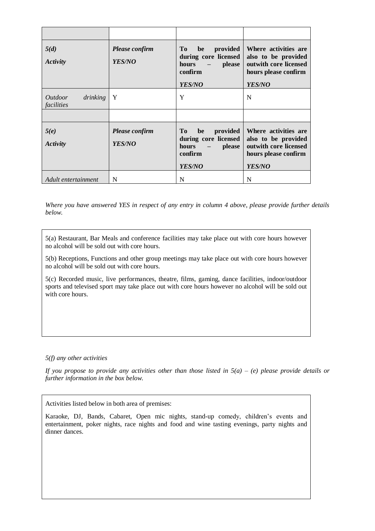| 5(d)<br>Activity                                | <b>Please confirm</b><br>YES/NO | To<br>provided<br>be<br>during core licensed<br>$hours -$<br>please<br>confirm<br>YES/NO              | Where activities are<br>also to be provided<br>out with core licensed<br>hours please confirm<br><b>YES/NO</b> |
|-------------------------------------------------|---------------------------------|-------------------------------------------------------------------------------------------------------|----------------------------------------------------------------------------------------------------------------|
| <i><u>Outdoor</u></i><br>drinking<br>facilities | $\mathbf{Y}$                    | Y                                                                                                     | N                                                                                                              |
| 5(e)<br>Activity                                | Please confirm<br><b>YES/NO</b> | To<br>provided<br>be<br>during core licensed<br>please<br>hours<br>$  \,$<br>confirm<br><b>YES/NO</b> | Where activities are<br>also to be provided<br>out with core licensed<br>hours please confirm<br><b>YES/NO</b> |
| Adult entertainment                             | N                               | N                                                                                                     | N                                                                                                              |

*Where you have answered YES in respect of any entry in column 4 above, please provide further details below.*

5(a) Restaurant, Bar Meals and conference facilities may take place out with core hours however no alcohol will be sold out with core hours.

5(b) Receptions, Functions and other group meetings may take place out with core hours however no alcohol will be sold out with core hours.

5(c) Recorded music, live performances, theatre, films, gaming, dance facilities, indoor/outdoor sports and televised sport may take place out with core hours however no alcohol will be sold out with core hours.

*5(f) any other activities*

*If you propose to provide any activities other than those listed in 5(a) – (e) please provide details or further information in the box below.*

Activities listed below in both area of premises:

Karaoke, DJ, Bands, Cabaret, Open mic nights, stand-up comedy, children's events and entertainment, poker nights, race nights and food and wine tasting evenings, party nights and dinner dances.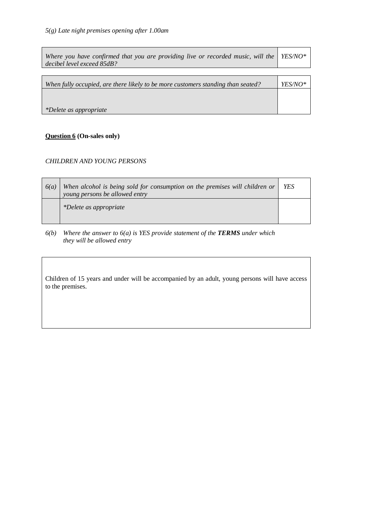| Where you have confirmed that you are providing live or recorded music, will the<br>decibel level exceed 85dB? | <i>YES/NO*</i> |
|----------------------------------------------------------------------------------------------------------------|----------------|
|                                                                                                                |                |
| When fully occupied, are there likely to be more customers standing than seated?                               | YES/NO*        |
|                                                                                                                |                |
| *Delete as appropriate                                                                                         |                |

# **Question 6 (On-sales only)**

#### *CHILDREN AND YOUNG PERSONS*

| 6(a) | When alcohol is being sold for consumption on the premises will children or<br>young persons be allowed entry | <b>YES</b> |
|------|---------------------------------------------------------------------------------------------------------------|------------|
|      | *Delete as appropriate                                                                                        |            |

 $6(b)$  *Where the answer to*  $6(a)$  *is YES provide statement of the <i>TERMS* under which *they will be allowed entry*

Children of 15 years and under will be accompanied by an adult, young persons will have access to the premises.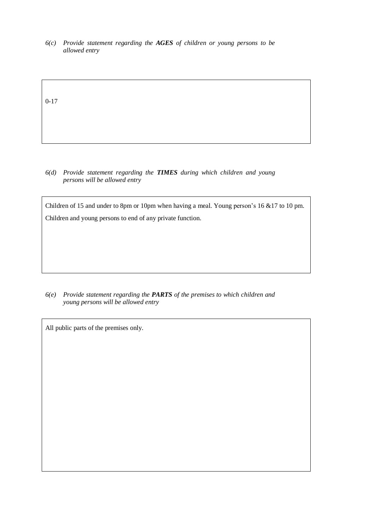*6(c) Provide statement regarding the AGES of children or young persons to be allowed entry*

0-17

*6(d) Provide statement regarding the TIMES during which children and young persons will be allowed entry*

Children of 15 and under to 8pm or 10pm when having a meal. Young person's 16 &17 to 10 pm. Children and young persons to end of any private function.

*6(e) Provide statement regarding the PARTS of the premises to which children and young persons will be allowed entry*

All public parts of the premises only.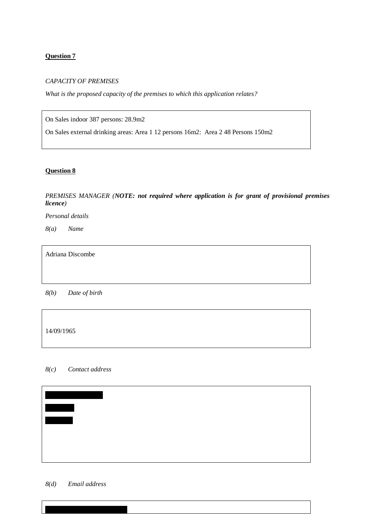#### **Question 7**

#### *CAPACITY OF PREMISES*

*What is the proposed capacity of the premises to which this application relates?*

On Sales indoor 387 persons: 28.9m2

On Sales external drinking areas: Area 1 12 persons 16m2: Area 2 48 Persons 150m2

#### **Question 8**

#### *PREMISES MANAGER (NOTE: not required where application is for grant of provisional premises licence)*

*Personal details*

*8(a) Name*

Adriana Discombe

*8(b) Date of birth*

14/09/1965

### *8(c) Contact address*



#### *8(d) Email address*